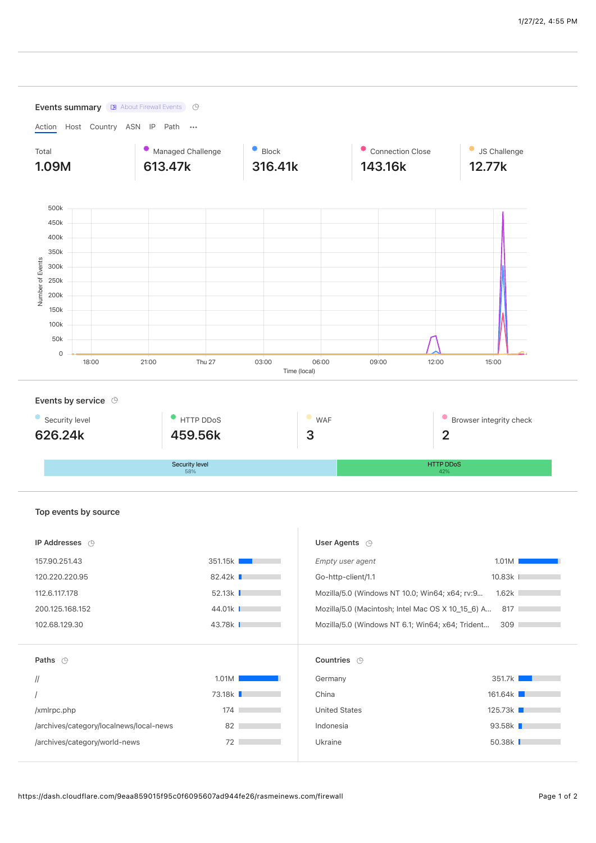

| Paths $\circledcirc$                    |        | Countries $\oplus$   |         |
|-----------------------------------------|--------|----------------------|---------|
| $\mathcal{U}$                           | 1.01M  | Germany              | 351.7k  |
|                                         | 73.18k | China                | 161.64k |
| /xmlrpc.php                             | 174    | <b>United States</b> | 125.73k |
| /archives/category/localnews/local-news | 82     | Indonesia            | 93.58k  |
| /archives/category/world-news           | 72     | Ukraine              | 50.38k  |
|                                         |        |                      |         |